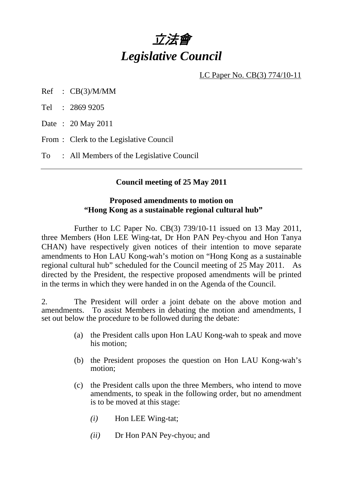# 立法會 *Legislative Council*

LC Paper No. CB(3) 774/10-11

Ref : CB(3)/M/MM

Tel : 2869 9205

Date : 20 May 2011

From : Clerk to the Legislative Council

To : All Members of the Legislative Council

## **Council meeting of 25 May 2011**

#### **Proposed amendments to motion on "Hong Kong as a sustainable regional cultural hub"**

 Further to LC Paper No. CB(3) 739/10-11 issued on 13 May 2011, three Members (Hon LEE Wing-tat, Dr Hon PAN Pey-chyou and Hon Tanya CHAN) have respectively given notices of their intention to move separate amendments to Hon LAU Kong-wah's motion on "Hong Kong as a sustainable regional cultural hub" scheduled for the Council meeting of 25 May 2011. As directed by the President, the respective proposed amendments will be printed in the terms in which they were handed in on the Agenda of the Council.

2. The President will order a joint debate on the above motion and amendments. To assist Members in debating the motion and amendments, I set out below the procedure to be followed during the debate:

- (a) the President calls upon Hon LAU Kong-wah to speak and move his motion;
- (b) the President proposes the question on Hon LAU Kong-wah's motion;
- (c) the President calls upon the three Members, who intend to move amendments, to speak in the following order, but no amendment is to be moved at this stage:
	- *(i)* Hon LEE Wing-tat;
	- *(ii)* Dr Hon PAN Pey-chyou; and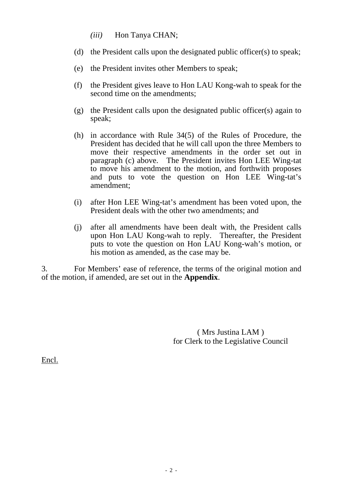- *(iii)* Hon Tanya CHAN;
- (d) the President calls upon the designated public officer(s) to speak;
- (e) the President invites other Members to speak;
- (f) the President gives leave to Hon LAU Kong-wah to speak for the second time on the amendments;
- (g) the President calls upon the designated public officer(s) again to speak;
- (h) in accordance with Rule 34(5) of the Rules of Procedure, the President has decided that he will call upon the three Members to move their respective amendments in the order set out in paragraph (c) above. The President invites Hon LEE Wing-tat to move his amendment to the motion, and forthwith proposes and puts to vote the question on Hon LEE Wing-tat's amendment;
- (i) after Hon LEE Wing-tat's amendment has been voted upon, the President deals with the other two amendments; and
- (j) after all amendments have been dealt with, the President calls upon Hon LAU Kong-wah to reply. Thereafter, the President puts to vote the question on Hon LAU Kong-wah's motion, or his motion as amended, as the case may be.

3. For Members' ease of reference, the terms of the original motion and of the motion, if amended, are set out in the **Appendix**.

> ( Mrs Justina LAM ) for Clerk to the Legislative Council

Encl.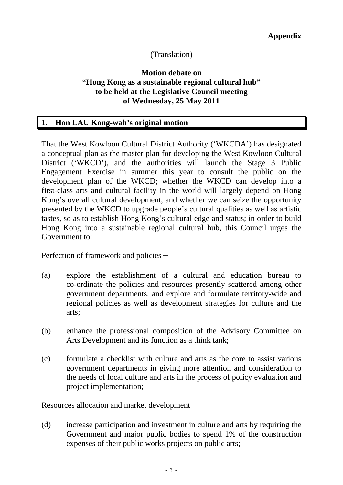## (Translation)

#### **Motion debate on "Hong Kong as a sustainable regional cultural hub" to be held at the Legislative Council meeting of Wednesday, 25 May 2011**

# **1. Hon LAU Kong-wah's original motion**

That the West Kowloon Cultural District Authority ('WKCDA') has designated a conceptual plan as the master plan for developing the West Kowloon Cultural District ('WKCD'), and the authorities will launch the Stage 3 Public Engagement Exercise in summer this year to consult the public on the development plan of the WKCD; whether the WKCD can develop into a first-class arts and cultural facility in the world will largely depend on Hong Kong's overall cultural development, and whether we can seize the opportunity presented by the WKCD to upgrade people's cultural qualities as well as artistic tastes, so as to establish Hong Kong's cultural edge and status; in order to build Hong Kong into a sustainable regional cultural hub, this Council urges the Government to:

Perfection of framework and policies-

- (a) explore the establishment of a cultural and education bureau to co-ordinate the policies and resources presently scattered among other government departments, and explore and formulate territory-wide and regional policies as well as development strategies for culture and the arts;
- (b) enhance the professional composition of the Advisory Committee on Arts Development and its function as a think tank;
- (c) formulate a checklist with culture and arts as the core to assist various government departments in giving more attention and consideration to the needs of local culture and arts in the process of policy evaluation and project implementation;

Resources allocation and market development $-$ 

(d) increase participation and investment in culture and arts by requiring the Government and major public bodies to spend 1% of the construction expenses of their public works projects on public arts;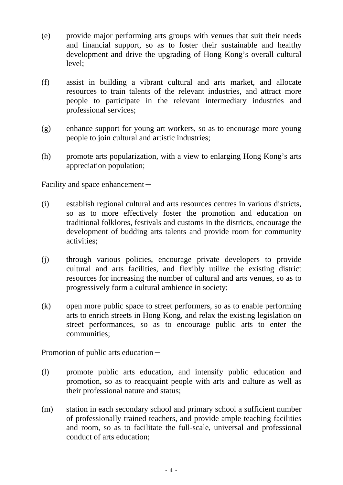- (e) provide major performing arts groups with venues that suit their needs and financial support, so as to foster their sustainable and healthy development and drive the upgrading of Hong Kong's overall cultural level;
- (f) assist in building a vibrant cultural and arts market, and allocate resources to train talents of the relevant industries, and attract more people to participate in the relevant intermediary industries and professional services;
- (g) enhance support for young art workers, so as to encourage more young people to join cultural and artistic industries;
- (h) promote arts popularization, with a view to enlarging Hong Kong's arts appreciation population;

Facility and space enhancement $-$ 

- (i) establish regional cultural and arts resources centres in various districts, so as to more effectively foster the promotion and education on traditional folklores, festivals and customs in the districts, encourage the development of budding arts talents and provide room for community activities;
- (j) through various policies, encourage private developers to provide cultural and arts facilities, and flexibly utilize the existing district resources for increasing the number of cultural and arts venues, so as to progressively form a cultural ambience in society;
- (k) open more public space to street performers, so as to enable performing arts to enrich streets in Hong Kong, and relax the existing legislation on street performances, so as to encourage public arts to enter the communities;

Promotion of public arts education-

- (l) promote public arts education, and intensify public education and promotion, so as to reacquaint people with arts and culture as well as their professional nature and status;
- (m) station in each secondary school and primary school a sufficient number of professionally trained teachers, and provide ample teaching facilities and room, so as to facilitate the full-scale, universal and professional conduct of arts education;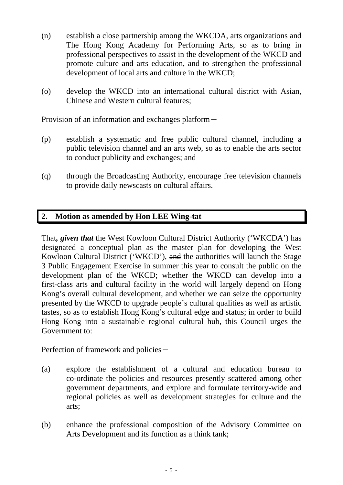- (n) establish a close partnership among the WKCDA, arts organizations and The Hong Kong Academy for Performing Arts, so as to bring in professional perspectives to assist in the development of the WKCD and promote culture and arts education, and to strengthen the professional development of local arts and culture in the WKCD;
- (o) develop the WKCD into an international cultural district with Asian, Chinese and Western cultural features;

Provision of an information and exchanges platform-

- (p) establish a systematic and free public cultural channel, including a public television channel and an arts web, so as to enable the arts sector to conduct publicity and exchanges; and
- (q) through the Broadcasting Authority, encourage free television channels to provide daily newscasts on cultural affairs.

## **2. Motion as amended by Hon LEE Wing-tat**

That*, given that* the West Kowloon Cultural District Authority ('WKCDA') has designated a conceptual plan as the master plan for developing the West Kowloon Cultural District ('WKCD'), and the authorities will launch the Stage 3 Public Engagement Exercise in summer this year to consult the public on the development plan of the WKCD; whether the WKCD can develop into a first-class arts and cultural facility in the world will largely depend on Hong Kong's overall cultural development, and whether we can seize the opportunity presented by the WKCD to upgrade people's cultural qualities as well as artistic tastes, so as to establish Hong Kong's cultural edge and status; in order to build Hong Kong into a sustainable regional cultural hub, this Council urges the Government to:

Perfection of framework and policies-

- (a) explore the establishment of a cultural and education bureau to co-ordinate the policies and resources presently scattered among other government departments, and explore and formulate territory-wide and regional policies as well as development strategies for culture and the arts;
- (b) enhance the professional composition of the Advisory Committee on Arts Development and its function as a think tank;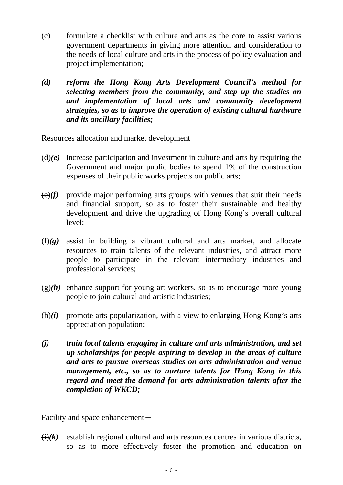- (c) formulate a checklist with culture and arts as the core to assist various government departments in giving more attention and consideration to the needs of local culture and arts in the process of policy evaluation and project implementation;
- *(d) reform the Hong Kong Arts Development Council's method for selecting members from the community, and step up the studies on and implementation of local arts and community development strategies, so as to improve the operation of existing cultural hardware and its ancillary facilities;*

Resources allocation and market development-

- $(d)(e)$  increase participation and investment in culture and arts by requiring the Government and major public bodies to spend 1% of the construction expenses of their public works projects on public arts;
- $\left(\frac{e}{f}\right)$  provide major performing arts groups with venues that suit their needs and financial support, so as to foster their sustainable and healthy development and drive the upgrading of Hong Kong's overall cultural level;
- (f)*(g)* assist in building a vibrant cultural and arts market, and allocate resources to train talents of the relevant industries, and attract more people to participate in the relevant intermediary industries and professional services;
- $(g)(h)$  enhance support for young art workers, so as to encourage more young people to join cultural and artistic industries;
- $(h)(i)$  promote arts popularization, with a view to enlarging Hong Kong's arts appreciation population;
- *(j) train local talents engaging in culture and arts administration, and set up scholarships for people aspiring to develop in the areas of culture and arts to pursue overseas studies on arts administration and venue management, etc., so as to nurture talents for Hong Kong in this regard and meet the demand for arts administration talents after the completion of WKCD;*

Facility and space enhancement $-$ 

 $\overrightarrow{(i)}(k)$  establish regional cultural and arts resources centres in various districts, so as to more effectively foster the promotion and education on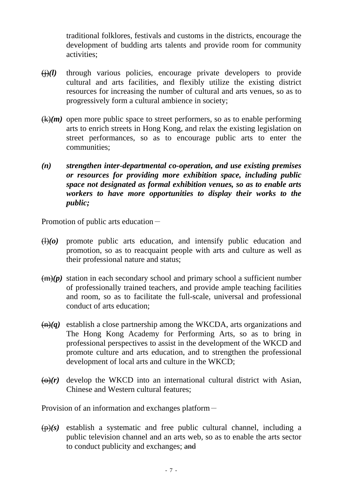traditional folklores, festivals and customs in the districts, encourage the development of budding arts talents and provide room for community activities;

- (j)*(l)* through various policies, encourage private developers to provide cultural and arts facilities, and flexibly utilize the existing district resources for increasing the number of cultural and arts venues, so as to progressively form a cultural ambience in society;
- $(k)(m)$  open more public space to street performers, so as to enable performing arts to enrich streets in Hong Kong, and relax the existing legislation on street performances, so as to encourage public arts to enter the communities;
- *(n) strengthen inter-departmental co-operation, and use existing premises or resources for providing more exhibition space, including public space not designated as formal exhibition venues, so as to enable arts workers to have more opportunities to display their works to the public;*

Promotion of public arts education $-$ 

- $\left(\frac{1}{0}\right)(0)$  promote public arts education, and intensify public education and promotion, so as to reacquaint people with arts and culture as well as their professional nature and status;
- $(m)(p)$  station in each secondary school and primary school a sufficient number of professionally trained teachers, and provide ample teaching facilities and room, so as to facilitate the full-scale, universal and professional conduct of arts education;
- $(n)(q)$  establish a close partnership among the WKCDA, arts organizations and The Hong Kong Academy for Performing Arts, so as to bring in professional perspectives to assist in the development of the WKCD and promote culture and arts education, and to strengthen the professional development of local arts and culture in the WKCD;
- $\overline{\Theta}(r)$  develop the WKCD into an international cultural district with Asian, Chinese and Western cultural features;

Provision of an information and exchanges platform-

 $(p)(s)$  establish a systematic and free public cultural channel, including a public television channel and an arts web, so as to enable the arts sector to conduct publicity and exchanges; and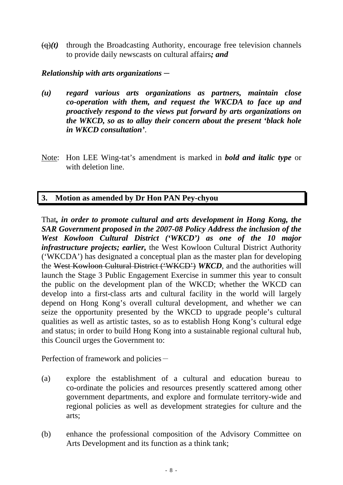$\left(\frac{q}{r}\right)(t)$  through the Broadcasting Authority, encourage free television channels to provide daily newscasts on cultural affairs*; and*

#### *Relationship with arts organizations*-

- *(u) regard various arts organizations as partners, maintain close co-operation with them, and request the WKCDA to face up and proactively respond to the views put forward by arts organizations on the WKCD, so as to allay their concern about the present 'black hole in WKCD consultation'*.
- Note: Hon LEE Wing-tat's amendment is marked in *bold and italic type* or with deletion line.

## **3. Motion as amended by Dr Hon PAN Pey-chyou**

That*, in order to promote cultural and arts development in Hong Kong, the SAR Government proposed in the 2007-08 Policy Address the inclusion of the West Kowloon Cultural District ('WKCD') as one of the 10 major infrastructure projects; earlier,* the West Kowloon Cultural District Authority ('WKCDA') has designated a conceptual plan as the master plan for developing the West Kowloon Cultural District ('WKCD') *WKCD*, and the authorities will launch the Stage 3 Public Engagement Exercise in summer this year to consult the public on the development plan of the WKCD; whether the WKCD can develop into a first-class arts and cultural facility in the world will largely depend on Hong Kong's overall cultural development, and whether we can seize the opportunity presented by the WKCD to upgrade people's cultural qualities as well as artistic tastes, so as to establish Hong Kong's cultural edge and status; in order to build Hong Kong into a sustainable regional cultural hub, this Council urges the Government to:

Perfection of framework and policies-

- (a) explore the establishment of a cultural and education bureau to co-ordinate the policies and resources presently scattered among other government departments, and explore and formulate territory-wide and regional policies as well as development strategies for culture and the arts;
- (b) enhance the professional composition of the Advisory Committee on Arts Development and its function as a think tank;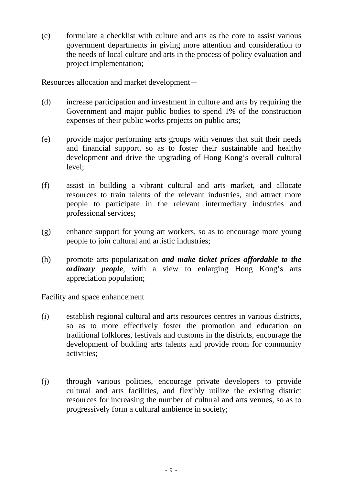(c) formulate a checklist with culture and arts as the core to assist various government departments in giving more attention and consideration to the needs of local culture and arts in the process of policy evaluation and project implementation;

Resources allocation and market development-

- (d) increase participation and investment in culture and arts by requiring the Government and major public bodies to spend 1% of the construction expenses of their public works projects on public arts;
- (e) provide major performing arts groups with venues that suit their needs and financial support, so as to foster their sustainable and healthy development and drive the upgrading of Hong Kong's overall cultural level;
- (f) assist in building a vibrant cultural and arts market, and allocate resources to train talents of the relevant industries, and attract more people to participate in the relevant intermediary industries and professional services;
- (g) enhance support for young art workers, so as to encourage more young people to join cultural and artistic industries;
- (h) promote arts popularization *and make ticket prices affordable to the ordinary people*, with a view to enlarging Hong Kong's arts appreciation population;

Facility and space enhancement-

- (i) establish regional cultural and arts resources centres in various districts, so as to more effectively foster the promotion and education on traditional folklores, festivals and customs in the districts, encourage the development of budding arts talents and provide room for community activities;
- (j) through various policies, encourage private developers to provide cultural and arts facilities, and flexibly utilize the existing district resources for increasing the number of cultural and arts venues, so as to progressively form a cultural ambience in society;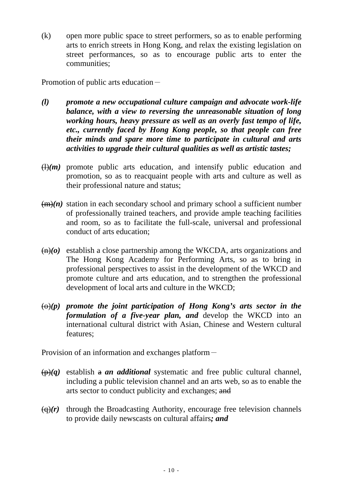(k) open more public space to street performers, so as to enable performing arts to enrich streets in Hong Kong, and relax the existing legislation on street performances, so as to encourage public arts to enter the communities;

Promotion of public arts education -

- *(l) promote a new occupational culture campaign and advocate work-life balance, with a view to reversing the unreasonable situation of long working hours, heavy pressure as well as an overly fast tempo of life, etc., currently faced by Hong Kong people, so that people can free their minds and spare more time to participate in cultural and arts activities to upgrade their cultural qualities as well as artistic tastes;*
- $(H(m))$  promote public arts education, and intensify public education and promotion, so as to reacquaint people with arts and culture as well as their professional nature and status;
- $(m)(n)$  station in each secondary school and primary school a sufficient number of professionally trained teachers, and provide ample teaching facilities and room, so as to facilitate the full-scale, universal and professional conduct of arts education;
- (n)*(o)* establish a close partnership among the WKCDA, arts organizations and The Hong Kong Academy for Performing Arts, so as to bring in professional perspectives to assist in the development of the WKCD and promote culture and arts education, and to strengthen the professional development of local arts and culture in the WKCD;
- $\Theta(p)$  promote the joint participation of Hong Kong's arts sector in the *formulation of a five-year plan, and* develop the WKCD into an international cultural district with Asian, Chinese and Western cultural features;

Provision of an information and exchanges platform-

- $(\rho)(q)$  establish a *an additional* systematic and free public cultural channel, including a public television channel and an arts web, so as to enable the arts sector to conduct publicity and exchanges; and
- $\Theta(r)$  through the Broadcasting Authority, encourage free television channels to provide daily newscasts on cultural affairs*; and*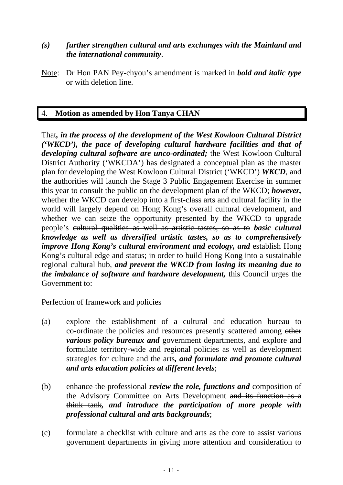## *(s) further strengthen cultural and arts exchanges with the Mainland and the international community*.

Note: Dr Hon PAN Pey-chyou's amendment is marked in *bold and italic type* or with deletion line.

# 4. **Motion as amended by Hon Tanya CHAN**

That*, in the process of the development of the West Kowloon Cultural District ('WKCD'), the pace of developing cultural hardware facilities and that of developing cultural software are unco-ordinated;* the West Kowloon Cultural District Authority ('WKCDA') has designated a conceptual plan as the master plan for developing the West Kowloon Cultural District ('WKCD') *WKCD*, and the authorities will launch the Stage 3 Public Engagement Exercise in summer this year to consult the public on the development plan of the WKCD; *however,*  whether the WKCD can develop into a first-class arts and cultural facility in the world will largely depend on Hong Kong's overall cultural development, and whether we can seize the opportunity presented by the WKCD to upgrade people's cultural qualities as well as artistic tastes, so as to *basic cultural knowledge as well as diversified artistic tastes, so as to comprehensively improve Hong Kong's cultural environment and ecology, and establish Hong* Kong's cultural edge and status; in order to build Hong Kong into a sustainable regional cultural hub, *and prevent the WKCD from losing its meaning due to the imbalance of software and hardware development,* this Council urges the Government to:

Perfection of framework and policies-

- (a) explore the establishment of a cultural and education bureau to co-ordinate the policies and resources presently scattered among other *various policy bureaux and* government departments, and explore and formulate territory-wide and regional policies as well as development strategies for culture and the arts*, and formulate and promote cultural and arts education policies at different levels*;
- (b) enhance the professional *review the role, functions and* composition of the Advisory Committee on Arts Development and its function as a think tank*, and introduce the participation of more people with professional cultural and arts backgrounds*;
- (c) formulate a checklist with culture and arts as the core to assist various government departments in giving more attention and consideration to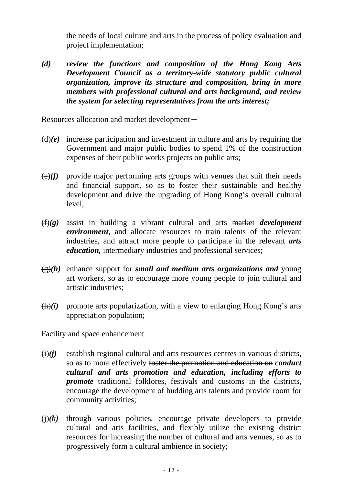the needs of local culture and arts in the process of policy evaluation and project implementation;

*(d) review the functions and composition of the Hong Kong Arts Development Council as a territory-wide statutory public cultural organization, improve its structure and composition, bring in more members with professional cultural and arts background, and review the system for selecting representatives from the arts interest;* 

Resources allocation and market development-

- $(d)(e)$  increase participation and investment in culture and arts by requiring the Government and major public bodies to spend 1% of the construction expenses of their public works projects on public arts;
- $\left(\frac{e}{f}\right)$  provide major performing arts groups with venues that suit their needs and financial support, so as to foster their sustainable and healthy development and drive the upgrading of Hong Kong's overall cultural level;
- (f)*(g)* assist in building a vibrant cultural and arts market *development environment*, and allocate resources to train talents of the relevant industries, and attract more people to participate in the relevant *arts education*, intermediary industries and professional services;
- (g)*(h)* enhance support for *small and medium arts organizations and* young art workers, so as to encourage more young people to join cultural and artistic industries;
- $(h)(i)$  promote arts popularization, with a view to enlarging Hong Kong's arts appreciation population;

Facility and space enhancement $-$ 

- $(i)(j)$  establish regional cultural and arts resources centres in various districts, so as to more effectively foster the promotion and education on *conduct cultural and arts promotion and education, including efforts to promote* traditional folklores, festivals and customs in the districts, encourage the development of budding arts talents and provide room for community activities;
- $\overrightarrow{()}$  through various policies, encourage private developers to provide cultural and arts facilities, and flexibly utilize the existing district resources for increasing the number of cultural and arts venues, so as to progressively form a cultural ambience in society;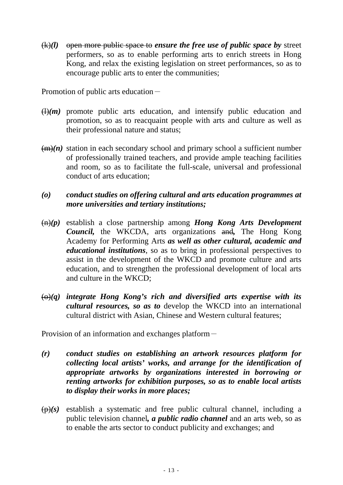(k)*(l)* open more public space to *ensure the free use of public space by* street performers, so as to enable performing arts to enrich streets in Hong Kong, and relax the existing legislation on street performances, so as to encourage public arts to enter the communities;

Promotion of public arts education -

- $\left(\frac{1}{m}\right)$  promote public arts education, and intensify public education and promotion, so as to reacquaint people with arts and culture as well as their professional nature and status;
- $(m)(n)$  station in each secondary school and primary school a sufficient number of professionally trained teachers, and provide ample teaching facilities and room, so as to facilitate the full-scale, universal and professional conduct of arts education;

#### *(o) conduct studies on offering cultural and arts education programmes at more universities and tertiary institutions;*

- (n)*(p)* establish a close partnership among *Hong Kong Arts Development Council,* the WKCDA, arts organizations and*,* The Hong Kong Academy for Performing Arts *as well as other cultural, academic and educational institutions*, so as to bring in professional perspectives to assist in the development of the WKCD and promote culture and arts education, and to strengthen the professional development of local arts and culture in the WKCD;
- $\overline{\Theta}(q)$  *integrate Hong Kong's rich and diversified arts expertise with its cultural resources, so as to* develop the WKCD into an international cultural district with Asian, Chinese and Western cultural features;

Provision of an information and exchanges platform-

- *(r) conduct studies on establishing an artwork resources platform for collecting local artists' works, and arrange for the identification of appropriate artworks by organizations interested in borrowing or renting artworks for exhibition purposes, so as to enable local artists to display their works in more places;*
- $(p)(s)$  establish a systematic and free public cultural channel, including a public television channel*, a public radio channel* and an arts web, so as to enable the arts sector to conduct publicity and exchanges; and